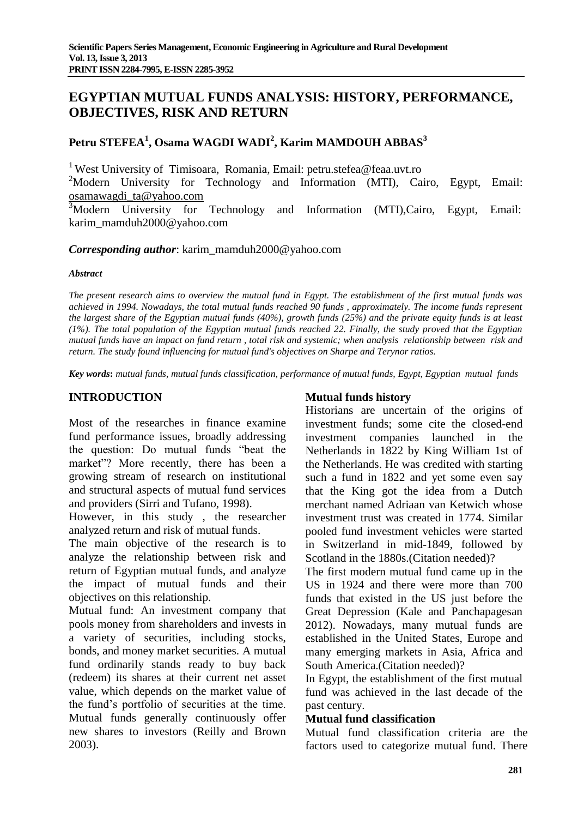# **EGYPTIAN MUTUAL FUNDS ANALYSIS: HISTORY, PERFORMANCE, OBJECTIVES, RISK AND RETURN**

# **Petru STEFEA<sup>1</sup> , Osama WAGDI WADI<sup>2</sup> , Karim MAMDOUH ABBAS<sup>3</sup>**

<sup>1</sup> West University of Timisoara, Romania, Email: petru.stefea@feaa.uvt.ro

<sup>2</sup>Modern University for Technology and Information (MTI), Cairo, Egypt, Email: [osamawagdi\\_ta@yahoo.com](mailto:osamawagdi_ta@yahoo.com)

<sup>3</sup>Modern University for Technology and Information (MTI), Cairo, Egypt, Email: karim\_mamduh2000@yahoo.com

# *Corresponding author*: karim\_mamduh2000@yahoo.com

#### *Abstract*

*The present research aims to overview the mutual fund in Egypt. The establishment of the first mutual funds was achieved in 1994. Nowadays, the total mutual funds reached 90 funds , approximately. The income funds represent the largest share of the Egyptian mutual funds (40%), growth funds (25%) and the private equity funds is at least (1%). The total population of the Egyptian mutual funds reached 22. Finally, the study proved that the Egyptian mutual funds have an impact on fund return , total risk and systemic; when analysis relationship between risk and return. The study found influencing for mutual fund's objectives on Sharpe and Terynor ratios.*

*Key words***:** *mutual funds, mutual funds classification, performance of mutual funds, Egypt, Egyptian mutual funds*

# **INTRODUCTION**

Most of the researches in finance examine fund performance issues, broadly addressing the question: Do mutual funds "beat the market"? More recently, there has been a growing stream of research on institutional and structural aspects of mutual fund services and providers (Sirri and Tufano, 1998).

However, in this study , the researcher analyzed return and risk of mutual funds.

The main objective of the research is to analyze the relationship between risk and return of Egyptian mutual funds, and analyze the impact of mutual funds and their objectives on this relationship.

Mutual fund: An investment company that pools money from shareholders and invests in a variety of securities, including stocks, bonds, and money market securities. A mutual fund ordinarily stands ready to buy back (redeem) its shares at their current net asset value, which depends on the market value of the fund's portfolio of securities at the time. Mutual funds generally continuously offer new shares to investors (Reilly and Brown 2003).

# **Mutual funds history**

Historians are uncertain of the origins of investment funds; some cite the closed-end investment companies launched in the Netherlands in 1822 by King William 1st of the Netherlands. He was credited with starting such a fund in 1822 and yet some even say that the King got the idea from a Dutch merchant named Adriaan van Ketwich whose investment trust was created in 1774. Similar pooled fund investment vehicles were started in Switzerland in mid-1849, followed by Scotland in the 1880s.(Citation needed)?

The first modern mutual fund came up in the US in 1924 and there were more than 700 funds that existed in the US just before the Great Depression (Kale and Panchapagesan 2012). Nowadays, many mutual funds are established in the United States, Europe and many emerging markets in Asia, Africa and South America.(Citation needed)?

In Egypt, the establishment of the first mutual fund was achieved in the last decade of the past century.

# **Mutual fund classification**

Mutual fund classification criteria are the factors used to categorize mutual fund. There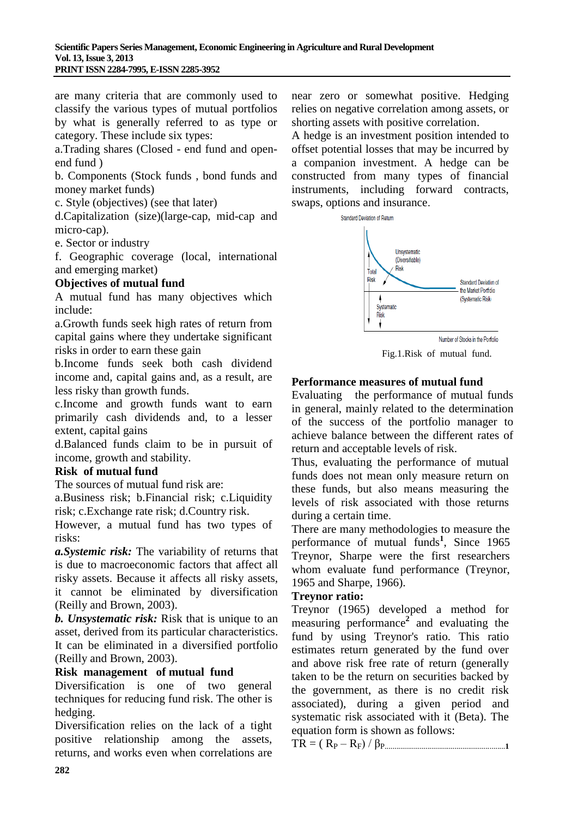are many criteria that are commonly used to classify the various types of mutual portfolios by what is generally referred to as type or category. These include six types:

a.Trading shares (Closed - end fund and openend fund )

b. Components (Stock funds , bond funds and money market funds)

c. Style (objectives) (see that later)

d.Capitalization (size)(large-cap, mid-cap and micro-cap).

e. Sector or industry

f. Geographic coverage (local, international and emerging market)

# **Objectives of mutual fund**

A mutual fund has many objectives which include:

a.Growth funds seek high rates of return from capital gains where they undertake significant risks in order to earn these gain

b.Income funds seek both cash dividend income and, capital gains and, as a result, are less risky than growth funds.

c.Income and growth funds want to earn primarily cash dividends and, to a lesser extent, capital gains

d.Balanced funds claim to be in pursuit of income, growth and stability.

# **Risk of mutual fund**

The sources of mutual fund risk are:

a.Business risk; b.Financial risk; c.Liquidity risk; c.Exchange rate risk; d.Country risk.

However, a mutual fund has two types of risks:

*a.Systemic risk:* The variability of returns that is due to macroeconomic factors that affect all risky assets. Because it affects all risky assets, it cannot be eliminated by diversification (Reilly and Brown, 2003).

*b. Unsystematic risk:* Risk that is unique to an asset, derived from its particular characteristics. It can be eliminated in a diversified portfolio (Reilly and Brown, 2003).

# **Risk management of mutual fund**

Diversification is one of two general techniques for reducing fund risk. The other is hedging.

Diversification relies on the lack of a tight positive relationship among the assets, returns, and works even when correlations are near zero or somewhat positive. Hedging relies on negative correlation among assets, or shorting assets with positive correlation.

A hedge is an investment position intended to offset potential losses that may be incurred by a companion investment. A hedge can be constructed from many types of financial instruments, including forward contracts, swaps, options and insurance.

Standard Deviation of Return



Fig.1.Risk of mutual fund.

# **Performance measures of mutual fund**

Evaluating the performance of mutual funds in general, mainly related to the determination of the success of the portfolio manager to achieve balance between the different rates of return and acceptable levels of risk.

Thus, evaluating the performance of mutual funds does not mean only measure return on these funds, but also means measuring the levels of risk associated with those returns during a certain time.

There are many methodologies to measure the performance of mutual funds**<sup>1</sup>** , Since 1965 Treynor, Sharpe were the first researchers whom evaluate fund performance (Treynor, 1965 and Sharpe, 1966).

# **Treynor ratio:**

Treynor (1965) developed a method for measuring performance**<sup>2</sup>** and evaluating the fund by using Treynor's ratio. This ratio estimates return generated by the fund over and above risk free rate of return (generally taken to be the return on securities backed by the government, as there is no credit risk associated), during a given period and systematic risk associated with it (Beta). The equation form is shown as follows:

TR = ( R<sup>P</sup> – RF) / βP..............................................................**<sup>1</sup>**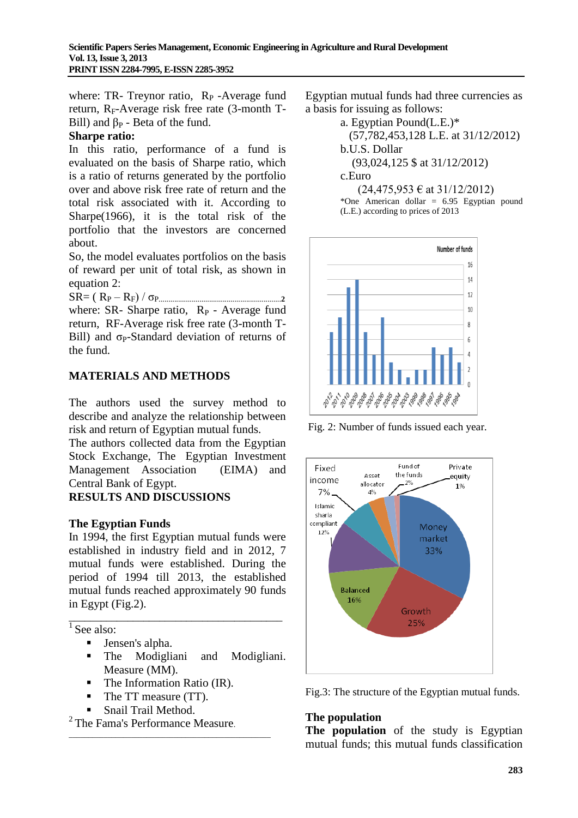where: TR- Treynor ratio,  $R_P$ -Average fund return,  $R_F$ -Average risk free rate (3-month T-Bill) and  $\beta_P$  - Beta of the fund.

# **Sharpe ratio:**

In this ratio, performance of a fund is evaluated on the basis of Sharpe ratio, which is a ratio of returns generated by the portfolio over and above risk free rate of return and the total risk associated with it. According to Sharpe(1966), it is the total risk of the portfolio that the investors are concerned about.

So, the model evaluates portfolios on the basis of reward per unit of total risk, as shown in equation 2:

SR= ( R<sup>P</sup> – RF) / σP...............................................................**<sup>2</sup>** where: SR- Sharpe ratio, R<sub>P</sub> - Average fund return, RF-Average risk free rate (3-month T-Bill) and  $\sigma_P$ -Standard deviation of returns of the fund.

# **MATERIALS AND METHODS**

The authors used the survey method to describe and analyze the relationship between risk and return of Egyptian mutual funds.

The authors collected data from the Egyptian Stock Exchange, The Egyptian Investment Management Association (EIMA) and Central Bank of Egypt.

# **RESULTS AND DISCUSSIONS**

# **The Egyptian Funds**

In 1994, the first Egyptian mutual funds were established in industry field and in 2012, 7 mutual funds were established. During the period of 1994 till 2013, the established mutual funds reached approximately 90 funds in Egypt (Fig.2).

\_\_\_\_\_\_\_\_\_\_\_\_\_\_\_\_\_\_\_\_\_\_\_\_\_\_\_\_\_\_\_\_\_\_\_\_\_\_\_\_

<sup>1</sup> See also:

- **Jensen's alpha.**
- The Modigliani and Modigliani. Measure (MM).
- $\blacksquare$  The Information Ratio (IR).

\_\_\_\_\_\_\_\_\_\_\_\_\_\_\_\_\_\_\_\_\_\_\_\_\_\_\_\_\_\_\_\_\_\_\_\_\_\_\_\_\_\_\_\_\_\_\_\_\_\_\_\_

- The TT measure (TT).
- Snail Trail Method.

 $2$  The Fama's Performance Measure.

Egyptian mutual funds had three currencies as a basis for issuing as follows:

> a. Egyptian Pound(L.E.)\* (57,782,453,128 L.E. at 31/12/2012) b.U.S. Dollar

(93,024,125 \$ at 31/12/2012)

c.Euro

 $(24,475,953 \in \text{at } 31/12/2012)$ \*One American dollar = 6.95 Egyptian pound (L.E.) according to prices of 2013



Fig. 2: Number of funds issued each year.



Fig.3: The structure of the Egyptian mutual funds.

# **The population**

**The population** of the study is Egyptian mutual funds; this mutual funds classification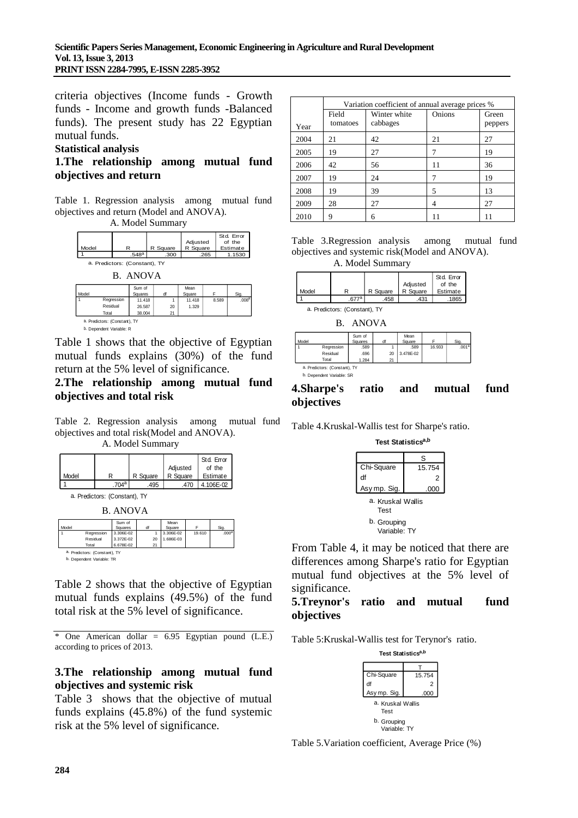criteria objectives (Income funds - Growth funds - Income and growth funds -Balanced funds). The present study has 22 Egyptian mutual funds.

#### **Statistical analysis**

# **1.The relationship among mutual fund objectives and return**

Table 1. Regression analysis among mutual fund objectives and return (Model and ANOVA).

A. Model Summary **Model Summary**





b. Dependent Variable: R

Table 1 shows that the objective of Egyptian mutual funds explains (30%) of the fund return at the 5% level of significance.

# **2.The relationship among mutual fund objectives and total risk**

Table 2. Regression analysis among mutual fund objectives and total risk(Model and ANOVA).

A. Model Summary **Model Summary**



B. ANOVA **ANOVA<sup>b</sup>**

|       |                               | <u>.</u>          |    |                |        |                   |
|-------|-------------------------------|-------------------|----|----------------|--------|-------------------|
| Model |                               | Sum of<br>Squares | ďf | Mean<br>Square |        | Sig.              |
|       | Regression                    | 3.306E-02         |    | 3.306E-02      | 19.610 | .000 <sup>a</sup> |
|       | Residual                      | 3.372E-02         | 20 | 1.686E-03      |        |                   |
|       | Total                         | 6.678E-02         | 21 |                |        |                   |
|       | a. Predictors: (Constant), TY |                   |    |                |        |                   |
|       | b. Dependent Variable: TR     |                   |    |                |        |                   |

Table 2 shows that the objective of Egyptian mutual funds explains (49.5%) of the fund total risk at the 5% level of significance.

\* One American dollar = 6.95 Egyptian pound (L.E.) according to prices of 2013.

# **3.The relationship among mutual fund objectives and systemic risk**

Table 3 shows that the objective of mutual funds explains (45.8%) of the fund systemic risk at the 5% level of significance.

|      | Variation coefficient of annual average prices % |                          |        |                  |
|------|--------------------------------------------------|--------------------------|--------|------------------|
| Year | Field<br>tomatoes                                | Winter white<br>cabbages | Onions | Green<br>peppers |
| 2004 | 21                                               | 42                       | 21     | 27               |
| 2005 | 19                                               | 27                       |        | 19               |
| 2006 | 42                                               | 56                       | 11     | 36               |
| 2007 | 19                                               | 24                       |        | 19               |
| 2008 | 19                                               | 39                       | 5      | 13               |
| 2009 | 28                                               | 27                       | 4      | 27               |
| 2010 | 9                                                | 6                        |        | 11               |

Table 3.Regression analysis among mutual fund objectives and systemic risk(Model and ANOVA).



|       |    |          |          | Std. Error |
|-------|----|----------|----------|------------|
|       |    |          | Adjusted | of the     |
| Model |    | R Square | R Square | Estimate   |
|       | ¬а | .458     | .431     | .1865      |

a. Predictors: (Constant), TY B. ANOVA **ANOVA<sup>b</sup>**

|       |            | Sum of  |    | Mean      |        |                   |
|-------|------------|---------|----|-----------|--------|-------------------|
| Model |            | Squares | df | Square    | E      | Sig.              |
|       | Regression | .589    |    | .589      | 16.933 | .001 <sup>a</sup> |
|       | Residual   | .696    | 20 | 3.478E-02 |        |                   |
|       | Total      | 1.284   | 21 |           |        |                   |

a. Predictors: (Constant), TY b. Dependent Variable: SR

### **4.Sharpe's ratio and mutual fund objectives**

Table 4.Kruskal-Wallis test for Sharpe's ratio.

#### **Test Statisticsa,b**



From Table 4, it may be noticed that there are differences among Sharpe's ratio for Egyptian mutual fund objectives at the 5% level of significance.

#### **5.Treynor's ratio and mutual fund objectives**

Table 5:Kruskal-Wallis test for Terynor's ratio.



Table 5.Variation coefficient, Average Price (%)